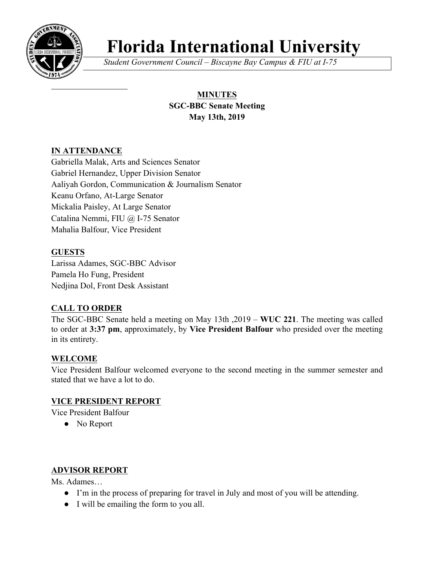

# **Florida International University**

*Student Government Council – Biscayne Bay Campus & FIU at I-75*

# **MINUTES SGC-BBC Senate Meeting May 13th, 2019**

# **IN ATTENDANCE**

Gabriella Malak, Arts and Sciences Senator Gabriel Hernandez, Upper Division Senator Aaliyah Gordon, Communication & Journalism Senator Keanu Orfano, At-Large Senator Mickalia Paisley, At Large Senator Catalina Nemmi, FIU @ I-75 Senator Mahalia Balfour, Vice President

# **GUESTS**

Larissa Adames, SGC-BBC Advisor Pamela Ho Fung, President Nedjina Dol, Front Desk Assistant

# **CALL TO ORDER**

The SGC-BBC Senate held a meeting on May 13th ,2019 – **WUC 221**. The meeting was called to order at **3:37 pm**, approximately, by **Vice President Balfour** who presided over the meeting in its entirety.

# **WELCOME**

Vice President Balfour welcomed everyone to the second meeting in the summer semester and stated that we have a lot to do.

# **VICE PRESIDENT REPORT**

Vice President Balfour

• No Report

# **ADVISOR REPORT**

Ms. Adames…

- I'm in the process of preparing for travel in July and most of you will be attending.
- I will be emailing the form to you all.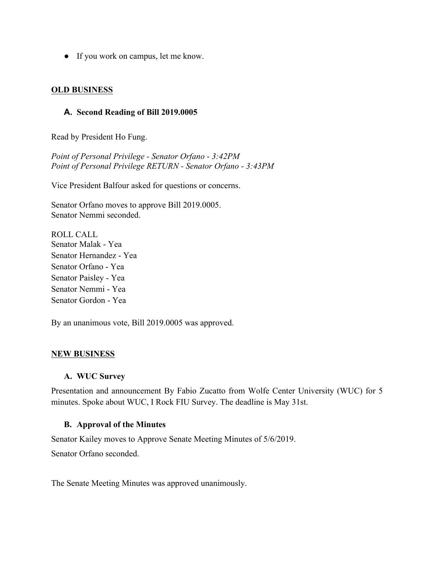● If you work on campus, let me know.

#### **OLD BUSINESS**

#### **A. Second Reading of Bill 2019.0005**

Read by President Ho Fung.

*Point of Personal Privilege - Senator Orfano - 3:42PM Point of Personal Privilege RETURN - Senator Orfano - 3:43PM*

Vice President Balfour asked for questions or concerns.

Senator Orfano moves to approve Bill 2019.0005. Senator Nemmi seconded.

ROLL CALL Senator Malak - Yea Senator Hernandez - Yea Senator Orfano - Yea Senator Paisley - Yea Senator Nemmi - Yea Senator Gordon - Yea

By an unanimous vote, Bill 2019.0005 was approved.

#### **NEW BUSINESS**

#### **A. WUC Survey**

Presentation and announcement By Fabio Zucatto from Wolfe Center University (WUC) for 5 minutes. Spoke about WUC, I Rock FIU Survey. The deadline is May 31st.

#### **B. Approval of the Minutes**

Senator Kailey moves to Approve Senate Meeting Minutes of 5/6/2019.

Senator Orfano seconded.

The Senate Meeting Minutes was approved unanimously.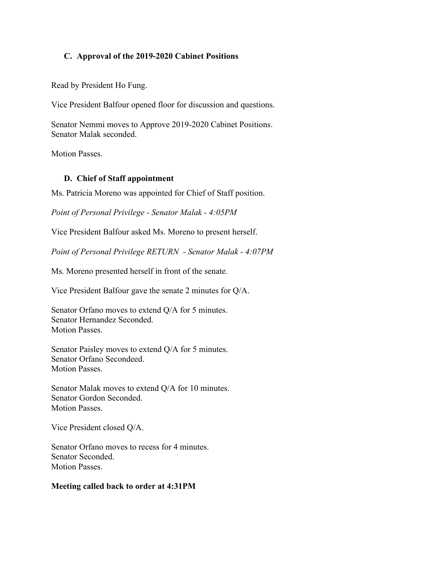#### **C. Approval of the 2019-2020 Cabinet Positions**

Read by President Ho Fung.

Vice President Balfour opened floor for discussion and questions.

Senator Nemmi moves to Approve 2019-2020 Cabinet Positions. Senator Malak seconded.

Motion Passes.

#### **D. Chief of Staff appointment**

Ms. Patricia Moreno was appointed for Chief of Staff position.

*Point of Personal Privilege - Senator Malak - 4:05PM*

Vice President Balfour asked Ms. Moreno to present herself.

*Point of Personal Privilege RETURN - Senator Malak - 4:07PM*

Ms. Moreno presented herself in front of the senate.

Vice President Balfour gave the senate 2 minutes for Q/A.

Senator Orfano moves to extend Q/A for 5 minutes. Senator Hernandez Seconded. Motion Passes.

Senator Paisley moves to extend Q/A for 5 minutes. Senator Orfano Secondeed. Motion Passes.

Senator Malak moves to extend Q/A for 10 minutes. Senator Gordon Seconded. Motion Passes.

Vice President closed Q/A.

Senator Orfano moves to recess for 4 minutes. Senator Seconded. Motion Passes.

#### **Meeting called back to order at 4:31PM**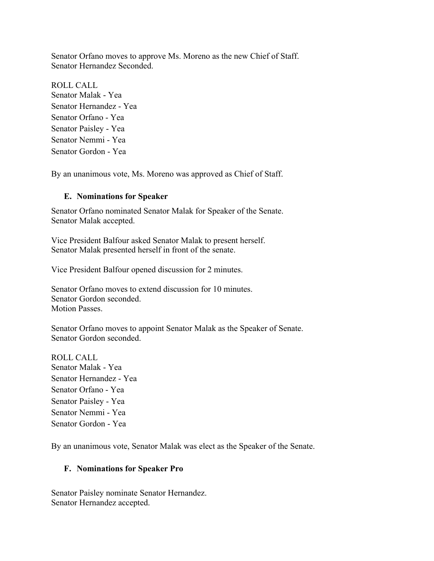Senator Orfano moves to approve Ms. Moreno as the new Chief of Staff. Senator Hernandez Seconded.

ROLL CALL Senator Malak - Yea Senator Hernandez - Yea Senator Orfano - Yea Senator Paisley - Yea Senator Nemmi - Yea Senator Gordon - Yea

By an unanimous vote, Ms. Moreno was approved as Chief of Staff.

#### **E. Nominations for Speaker**

Senator Orfano nominated Senator Malak for Speaker of the Senate. Senator Malak accepted.

Vice President Balfour asked Senator Malak to present herself. Senator Malak presented herself in front of the senate.

Vice President Balfour opened discussion for 2 minutes.

Senator Orfano moves to extend discussion for 10 minutes. Senator Gordon seconded. Motion Passes.

Senator Orfano moves to appoint Senator Malak as the Speaker of Senate. Senator Gordon seconded.

ROLL CALL Senator Malak - Yea Senator Hernandez - Yea Senator Orfano - Yea Senator Paisley - Yea Senator Nemmi - Yea Senator Gordon - Yea

By an unanimous vote, Senator Malak was elect as the Speaker of the Senate.

#### **F. Nominations for Speaker Pro**

Senator Paisley nominate Senator Hernandez. Senator Hernandez accepted.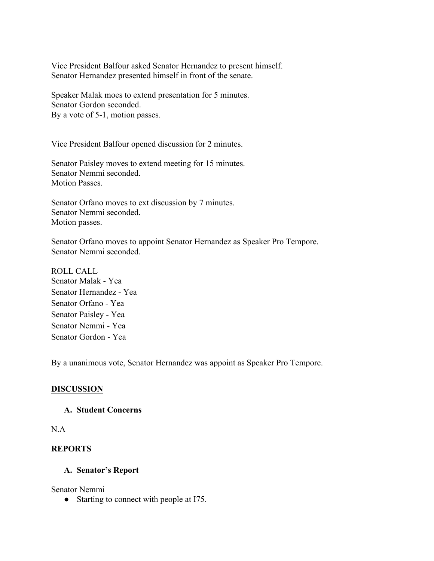Vice President Balfour asked Senator Hernandez to present himself. Senator Hernandez presented himself in front of the senate.

Speaker Malak moes to extend presentation for 5 minutes. Senator Gordon seconded. By a vote of 5-1, motion passes.

Vice President Balfour opened discussion for 2 minutes.

Senator Paisley moves to extend meeting for 15 minutes. Senator Nemmi seconded. Motion Passes.

Senator Orfano moves to ext discussion by 7 minutes. Senator Nemmi seconded. Motion passes.

Senator Orfano moves to appoint Senator Hernandez as Speaker Pro Tempore. Senator Nemmi seconded.

ROLL CALL Senator Malak - Yea Senator Hernandez - Yea Senator Orfano - Yea Senator Paisley - Yea Senator Nemmi - Yea Senator Gordon - Yea

By a unanimous vote, Senator Hernandez was appoint as Speaker Pro Tempore.

#### **DISCUSSION**

#### **A. Student Concerns**

N.A

#### **REPORTS**

#### **A. Senator's Report**

Senator Nemmi

• Starting to connect with people at I75.